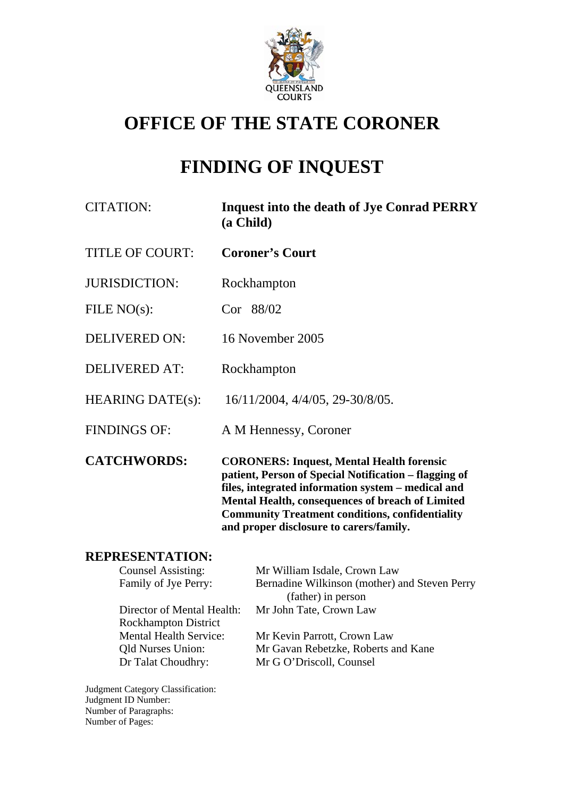

# **OFFICE OF THE STATE CORONER**

# **FINDING OF INQUEST**

| <b>CITATION:</b>        | <b>Inquest into the death of Jye Conrad PERRY</b><br>(a Child)                                                                                                                                                      |
|-------------------------|---------------------------------------------------------------------------------------------------------------------------------------------------------------------------------------------------------------------|
| <b>TITLE OF COURT:</b>  | <b>Coroner's Court</b>                                                                                                                                                                                              |
| <b>JURISDICTION:</b>    | Rockhampton                                                                                                                                                                                                         |
| FILE $NO(s)$ :          | Cor 88/02                                                                                                                                                                                                           |
| <b>DELIVERED ON:</b>    | 16 November 2005                                                                                                                                                                                                    |
| <b>DELIVERED AT:</b>    | Rockhampton                                                                                                                                                                                                         |
| <b>HEARING DATE(s):</b> | 16/11/2004, 4/4/05, 29-30/8/05.                                                                                                                                                                                     |
| <b>FINDINGS OF:</b>     | A M Hennessy, Coroner                                                                                                                                                                                               |
| <b>CATCHWORDS:</b>      | <b>CORONERS: Inquest, Mental Health forensic</b><br>patient, Person of Special Notification – flagging of<br>files, integrated information system – medical and<br>Mental Health, consequences of breach of Limited |

### **REPRESENTATION:**

| <b>Counsel Assisting:</b>     | Mr William Isdale, Crown Law                  |
|-------------------------------|-----------------------------------------------|
| Family of Jye Perry:          | Bernadine Wilkinson (mother) and Steven Perry |
|                               | (father) in person                            |
| Director of Mental Health:    | Mr John Tate, Crown Law                       |
| <b>Rockhampton District</b>   |                                               |
| <b>Mental Health Service:</b> | Mr Kevin Parrott, Crown Law                   |
| <b>Qld Nurses Union:</b>      | Mr Gavan Rebetzke, Roberts and Kane           |
| Dr Talat Choudhry:            | Mr G O'Driscoll, Counsel                      |
|                               |                                               |

**Community Treatment conditions, confidentiality** 

**and proper disclosure to carers/family.** 

Judgment Category Classification: Judgment ID Number: Number of Paragraphs: Number of Pages: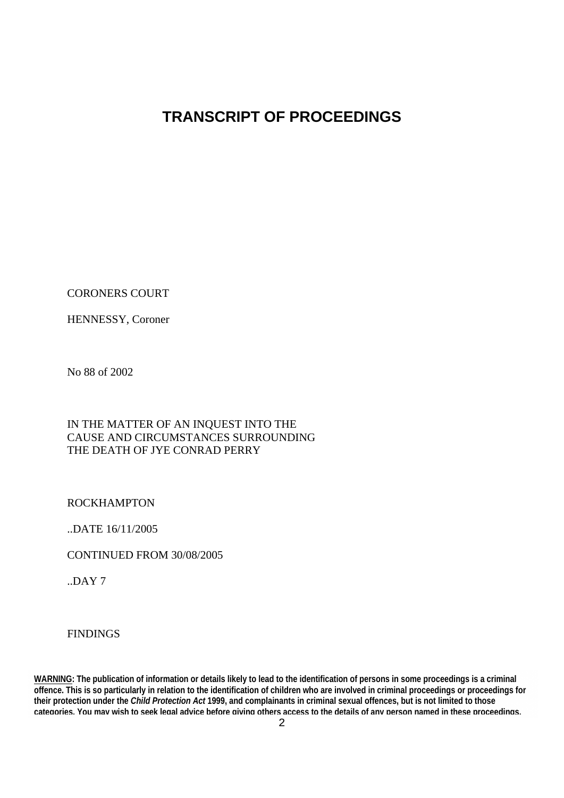## **TRANSCRIPT OF PROCEEDINGS**

CORONERS COURT

HENNESSY, Coroner

No 88 of 2002

#### IN THE MATTER OF AN INQUEST INTO THE CAUSE AND CIRCUMSTANCES SURROUNDING THE DEATH OF JYE CONRAD PERRY

ROCKHAMPTON

..DATE 16/11/2005

CONTINUED FROM 30/08/2005

 $.$ DAY  $7$ 

FINDINGS

**WARNING: The publication of information or details likely to lead to the identification of persons in some proceedings is a criminal offence. This is so particularly in relation to the identification of children who are involved in criminal proceedings or proceedings for their protection under the** *Child Protection Act* **1999, and complainants in criminal sexual offences, but is not limited to those categories. You may wish to seek legal advice before giving others access to the details of any person named in these proceedings.**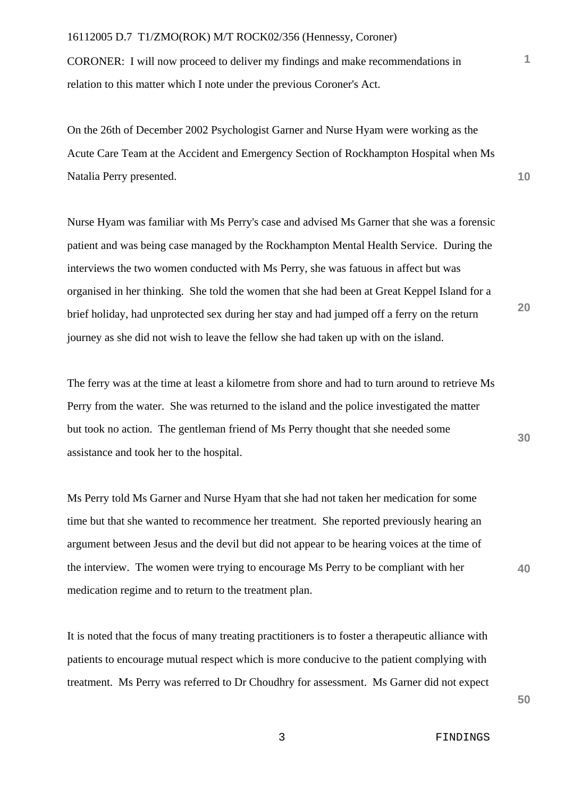CORONER: I will now proceed to deliver my findings and make recommendations in relation to this matter which I note under the previous Coroner's Act.

On the 26th of December 2002 Psychologist Garner and Nurse Hyam were working as the Acute Care Team at the Accident and Emergency Section of Rockhampton Hospital when Ms Natalia Perry presented.

Nurse Hyam was familiar with Ms Perry's case and advised Ms Garner that she was a forensic patient and was being case managed by the Rockhampton Mental Health Service. During the interviews the two women conducted with Ms Perry, she was fatuous in affect but was organised in her thinking. She told the women that she had been at Great Keppel Island for a brief holiday, had unprotected sex during her stay and had jumped off a ferry on the return journey as she did not wish to leave the fellow she had taken up with on the island.

The ferry was at the time at least a kilometre from shore and had to turn around to retrieve Ms Perry from the water. She was returned to the island and the police investigated the matter but took no action. The gentleman friend of Ms Perry thought that she needed some assistance and took her to the hospital.

Ms Perry told Ms Garner and Nurse Hyam that she had not taken her medication for some time but that she wanted to recommence her treatment. She reported previously hearing an argument between Jesus and the devil but did not appear to be hearing voices at the time of the interview. The women were trying to encourage Ms Perry to be compliant with her medication regime and to return to the treatment plan.

It is noted that the focus of many treating practitioners is to foster a therapeutic alliance with patients to encourage mutual respect which is more conducive to the patient complying with treatment. Ms Perry was referred to Dr Choudhry for assessment. Ms Garner did not expect

**50**

**40**

**20**

**30**

**10**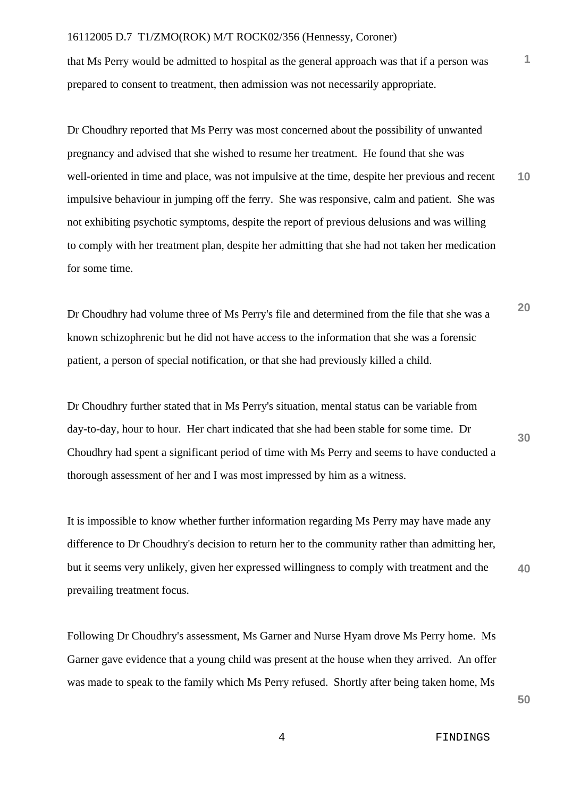that Ms Perry would be admitted to hospital as the general approach was that if a person was prepared to consent to treatment, then admission was not necessarily appropriate.

**10** Dr Choudhry reported that Ms Perry was most concerned about the possibility of unwanted pregnancy and advised that she wished to resume her treatment. He found that she was well-oriented in time and place, was not impulsive at the time, despite her previous and recent impulsive behaviour in jumping off the ferry. She was responsive, calm and patient. She was not exhibiting psychotic symptoms, despite the report of previous delusions and was willing to comply with her treatment plan, despite her admitting that she had not taken her medication for some time.

**20** Dr Choudhry had volume three of Ms Perry's file and determined from the file that she was a known schizophrenic but he did not have access to the information that she was a forensic patient, a person of special notification, or that she had previously killed a child.

Dr Choudhry further stated that in Ms Perry's situation, mental status can be variable from day-to-day, hour to hour. Her chart indicated that she had been stable for some time. Dr Choudhry had spent a significant period of time with Ms Perry and seems to have conducted a thorough assessment of her and I was most impressed by him as a witness.

It is impossible to know whether further information regarding Ms Perry may have made any difference to Dr Choudhry's decision to return her to the community rather than admitting her, but it seems very unlikely, given her expressed willingness to comply with treatment and the prevailing treatment focus.

Following Dr Choudhry's assessment, Ms Garner and Nurse Hyam drove Ms Perry home. Ms Garner gave evidence that a young child was present at the house when they arrived. An offer was made to speak to the family which Ms Perry refused. Shortly after being taken home, Ms

**50**

**30**

**40**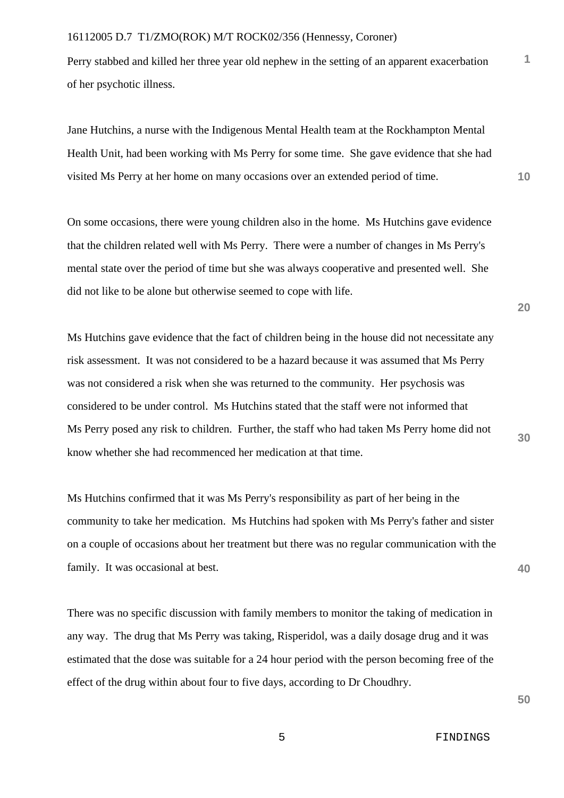Perry stabbed and killed her three year old nephew in the setting of an apparent exacerbation of her psychotic illness.

Jane Hutchins, a nurse with the Indigenous Mental Health team at the Rockhampton Mental Health Unit, had been working with Ms Perry for some time. She gave evidence that she had visited Ms Perry at her home on many occasions over an extended period of time.

On some occasions, there were young children also in the home. Ms Hutchins gave evidence that the children related well with Ms Perry. There were a number of changes in Ms Perry's mental state over the period of time but she was always cooperative and presented well. She did not like to be alone but otherwise seemed to cope with life.

Ms Hutchins gave evidence that the fact of children being in the house did not necessitate any risk assessment. It was not considered to be a hazard because it was assumed that Ms Perry was not considered a risk when she was returned to the community. Her psychosis was considered to be under control. Ms Hutchins stated that the staff were not informed that Ms Perry posed any risk to children. Further, the staff who had taken Ms Perry home did not know whether she had recommenced her medication at that time.

Ms Hutchins confirmed that it was Ms Perry's responsibility as part of her being in the community to take her medication. Ms Hutchins had spoken with Ms Perry's father and sister on a couple of occasions about her treatment but there was no regular communication with the family. It was occasional at best.

There was no specific discussion with family members to monitor the taking of medication in any way. The drug that Ms Perry was taking, Risperidol, was a daily dosage drug and it was estimated that the dose was suitable for a 24 hour period with the person becoming free of the effect of the drug within about four to five days, according to Dr Choudhry.

**20**

**1**

**10**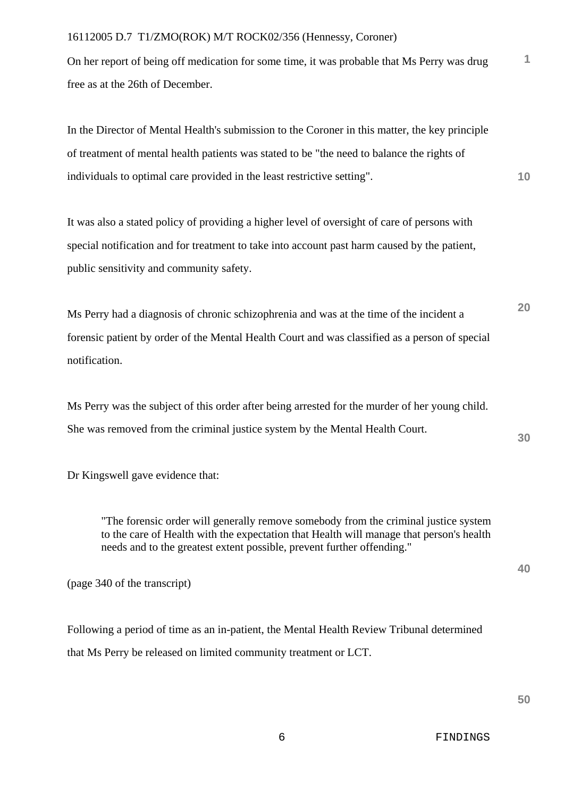On her report of being off medication for some time, it was probable that Ms Perry was drug free as at the 26th of December.

In the Director of Mental Health's submission to the Coroner in this matter, the key principle of treatment of mental health patients was stated to be "the need to balance the rights of individuals to optimal care provided in the least restrictive setting".

It was also a stated policy of providing a higher level of oversight of care of persons with special notification and for treatment to take into account past harm caused by the patient, public sensitivity and community safety.

Ms Perry had a diagnosis of chronic schizophrenia and was at the time of the incident a forensic patient by order of the Mental Health Court and was classified as a person of special notification.

Ms Perry was the subject of this order after being arrested for the murder of her young child. She was removed from the criminal justice system by the Mental Health Court.

Dr Kingswell gave evidence that:

"The forensic order will generally remove somebody from the criminal justice system to the care of Health with the expectation that Health will manage that person's health needs and to the greatest extent possible, prevent further offending."

(page 340 of the transcript)

Following a period of time as an in-patient, the Mental Health Review Tribunal determined that Ms Perry be released on limited community treatment or LCT.

**20**

**10**

**1**

**30**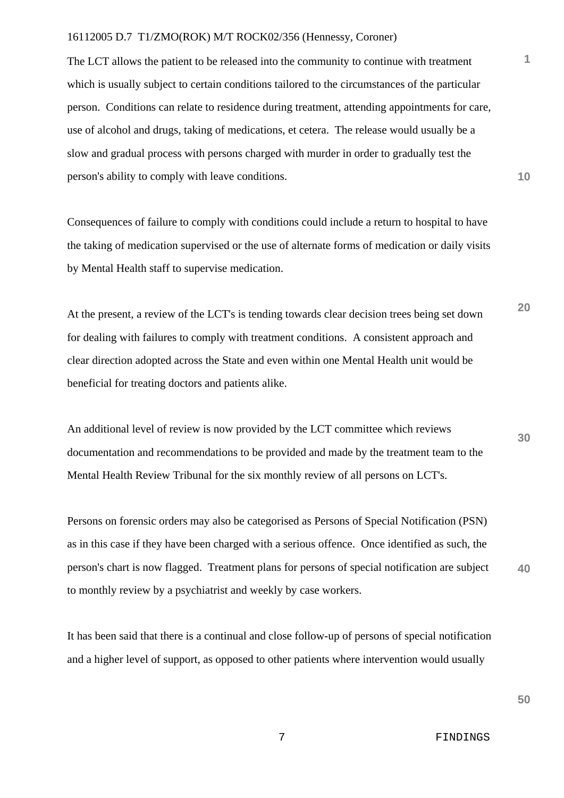The LCT allows the patient to be released into the community to continue with treatment which is usually subject to certain conditions tailored to the circumstances of the particular person. Conditions can relate to residence during treatment, attending appointments for care, use of alcohol and drugs, taking of medications, et cetera. The release would usually be a slow and gradual process with persons charged with murder in order to gradually test the person's ability to comply with leave conditions.

Consequences of failure to comply with conditions could include a return to hospital to have the taking of medication supervised or the use of alternate forms of medication or daily visits by Mental Health staff to supervise medication.

**20** At the present, a review of the LCT's is tending towards clear decision trees being set down for dealing with failures to comply with treatment conditions. A consistent approach and clear direction adopted across the State and even within one Mental Health unit would be beneficial for treating doctors and patients alike.

An additional level of review is now provided by the LCT committee which reviews documentation and recommendations to be provided and made by the treatment team to the Mental Health Review Tribunal for the six monthly review of all persons on LCT's.

**40** Persons on forensic orders may also be categorised as Persons of Special Notification (PSN) as in this case if they have been charged with a serious offence. Once identified as such, the person's chart is now flagged. Treatment plans for persons of special notification are subject to monthly review by a psychiatrist and weekly by case workers.

It has been said that there is a continual and close follow-up of persons of special notification and a higher level of support, as opposed to other patients where intervention would usually

**50**

**30**

**10**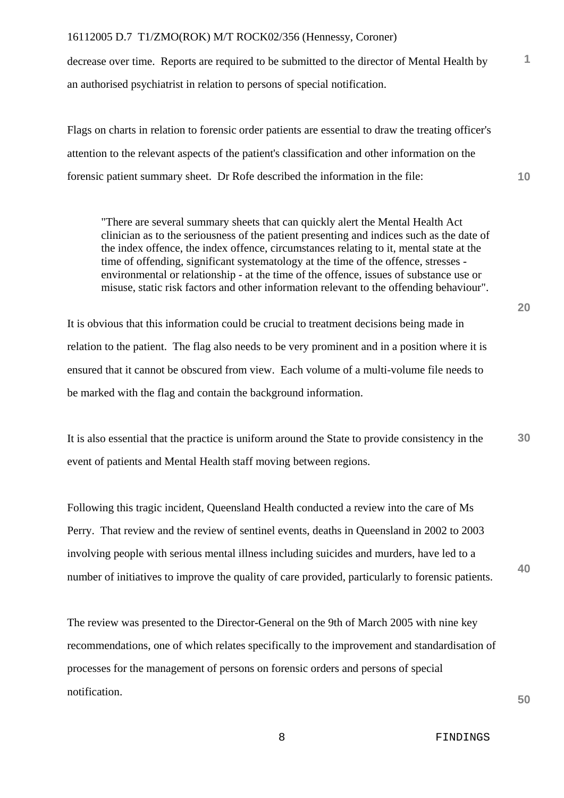decrease over time. Reports are required to be submitted to the director of Mental Health by an authorised psychiatrist in relation to persons of special notification.

Flags on charts in relation to forensic order patients are essential to draw the treating officer's attention to the relevant aspects of the patient's classification and other information on the forensic patient summary sheet. Dr Rofe described the information in the file:

"There are several summary sheets that can quickly alert the Mental Health Act clinician as to the seriousness of the patient presenting and indices such as the date of the index offence, the index offence, circumstances relating to it, mental state at the time of offending, significant systematology at the time of the offence, stresses environmental or relationship - at the time of the offence, issues of substance use or misuse, static risk factors and other information relevant to the offending behaviour".

It is obvious that this information could be crucial to treatment decisions being made in relation to the patient. The flag also needs to be very prominent and in a position where it is ensured that it cannot be obscured from view. Each volume of a multi-volume file needs to be marked with the flag and contain the background information.

It is also essential that the practice is uniform around the State to provide consistency in the event of patients and Mental Health staff moving between regions.

Following this tragic incident, Queensland Health conducted a review into the care of Ms Perry. That review and the review of sentinel events, deaths in Queensland in 2002 to 2003 involving people with serious mental illness including suicides and murders, have led to a number of initiatives to improve the quality of care provided, particularly to forensic patients.

The review was presented to the Director-General on the 9th of March 2005 with nine key recommendations, one of which relates specifically to the improvement and standardisation of processes for the management of persons on forensic orders and persons of special notification.

**50**

**10**

**1**

**40**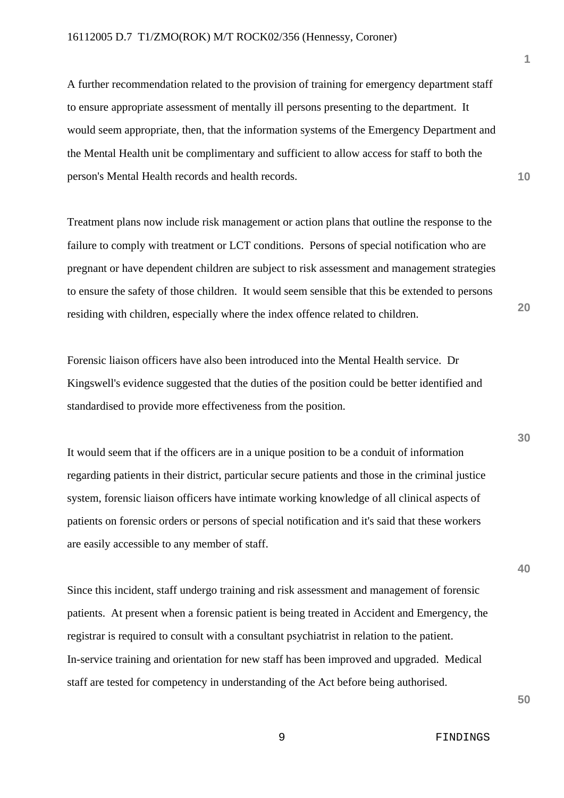A further recommendation related to the provision of training for emergency department staff to ensure appropriate assessment of mentally ill persons presenting to the department. It would seem appropriate, then, that the information systems of the Emergency Department and the Mental Health unit be complimentary and sufficient to allow access for staff to both the person's Mental Health records and health records.

Treatment plans now include risk management or action plans that outline the response to the failure to comply with treatment or LCT conditions. Persons of special notification who are pregnant or have dependent children are subject to risk assessment and management strategies to ensure the safety of those children. It would seem sensible that this be extended to persons residing with children, especially where the index offence related to children.

Forensic liaison officers have also been introduced into the Mental Health service. Dr Kingswell's evidence suggested that the duties of the position could be better identified and standardised to provide more effectiveness from the position.

It would seem that if the officers are in a unique position to be a conduit of information regarding patients in their district, particular secure patients and those in the criminal justice system, forensic liaison officers have intimate working knowledge of all clinical aspects of patients on forensic orders or persons of special notification and it's said that these workers are easily accessible to any member of staff.

Since this incident, staff undergo training and risk assessment and management of forensic patients. At present when a forensic patient is being treated in Accident and Emergency, the registrar is required to consult with a consultant psychiatrist in relation to the patient. In-service training and orientation for new staff has been improved and upgraded. Medical staff are tested for competency in understanding of the Act before being authorised.

**1**

**10**

**20**

**30**

**40**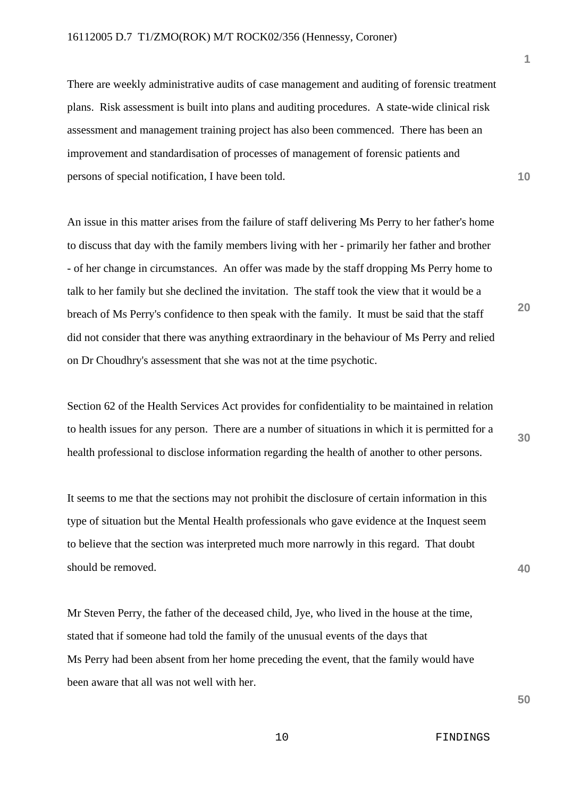There are weekly administrative audits of case management and auditing of forensic treatment plans. Risk assessment is built into plans and auditing procedures. A state-wide clinical risk assessment and management training project has also been commenced. There has been an improvement and standardisation of processes of management of forensic patients and persons of special notification, I have been told.

An issue in this matter arises from the failure of staff delivering Ms Perry to her father's home to discuss that day with the family members living with her - primarily her father and brother - of her change in circumstances. An offer was made by the staff dropping Ms Perry home to talk to her family but she declined the invitation. The staff took the view that it would be a breach of Ms Perry's confidence to then speak with the family. It must be said that the staff did not consider that there was anything extraordinary in the behaviour of Ms Perry and relied on Dr Choudhry's assessment that she was not at the time psychotic.

Section 62 of the Health Services Act provides for confidentiality to be maintained in relation to health issues for any person. There are a number of situations in which it is permitted for a health professional to disclose information regarding the health of another to other persons.

It seems to me that the sections may not prohibit the disclosure of certain information in this type of situation but the Mental Health professionals who gave evidence at the Inquest seem to believe that the section was interpreted much more narrowly in this regard. That doubt should be removed.

Mr Steven Perry, the father of the deceased child, Jye, who lived in the house at the time, stated that if someone had told the family of the unusual events of the days that Ms Perry had been absent from her home preceding the event, that the family would have been aware that all was not well with her.

**1**

**10**

**30**

**20**

**40**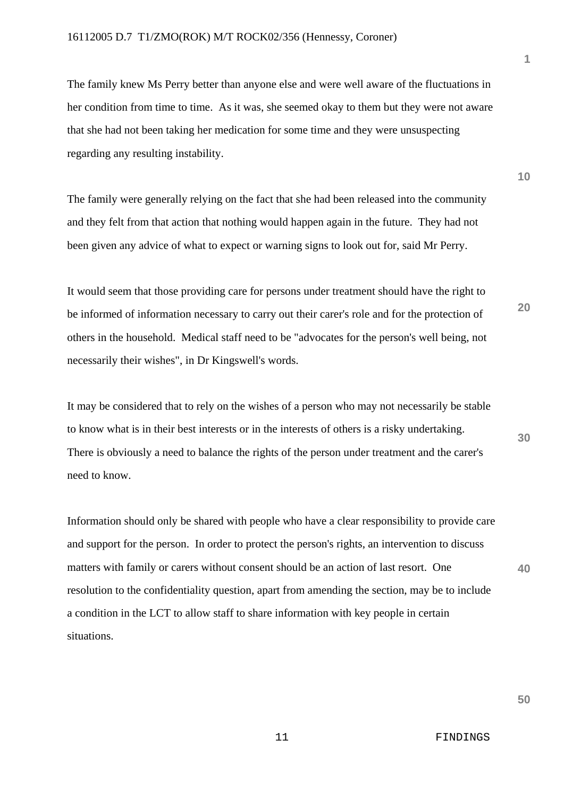The family knew Ms Perry better than anyone else and were well aware of the fluctuations in her condition from time to time. As it was, she seemed okay to them but they were not aware that she had not been taking her medication for some time and they were unsuspecting regarding any resulting instability.

The family were generally relying on the fact that she had been released into the community and they felt from that action that nothing would happen again in the future. They had not been given any advice of what to expect or warning signs to look out for, said Mr Perry.

It would seem that those providing care for persons under treatment should have the right to be informed of information necessary to carry out their carer's role and for the protection of others in the household. Medical staff need to be "advocates for the person's well being, not necessarily their wishes", in Dr Kingswell's words.

It may be considered that to rely on the wishes of a person who may not necessarily be stable to know what is in their best interests or in the interests of others is a risky undertaking. There is obviously a need to balance the rights of the person under treatment and the carer's need to know.

Information should only be shared with people who have a clear responsibility to provide care and support for the person. In order to protect the person's rights, an intervention to discuss matters with family or carers without consent should be an action of last resort. One resolution to the confidentiality question, apart from amending the section, may be to include a condition in the LCT to allow staff to share information with key people in certain situations.

**10**

**20**

**30**

**40**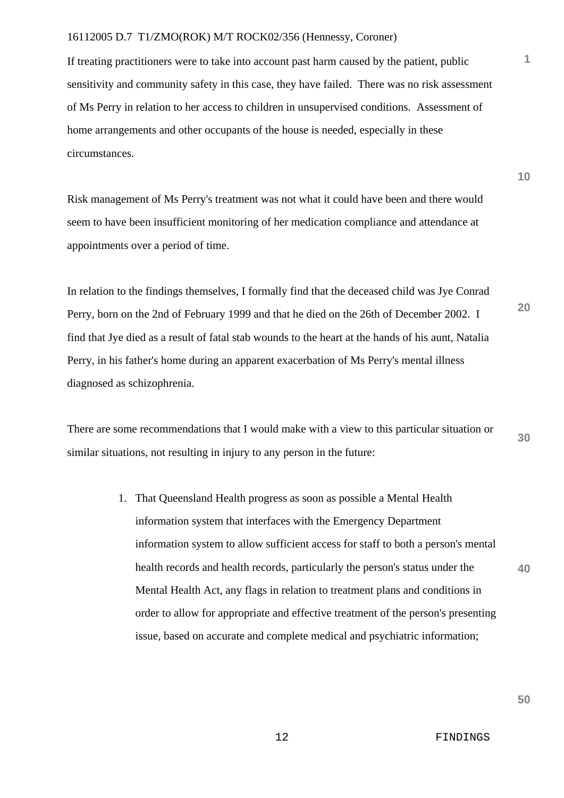If treating practitioners were to take into account past harm caused by the patient, public sensitivity and community safety in this case, they have failed. There was no risk assessment of Ms Perry in relation to her access to children in unsupervised conditions. Assessment of home arrangements and other occupants of the house is needed, especially in these circumstances.

Risk management of Ms Perry's treatment was not what it could have been and there would seem to have been insufficient monitoring of her medication compliance and attendance at appointments over a period of time.

In relation to the findings themselves, I formally find that the deceased child was Jye Conrad Perry, born on the 2nd of February 1999 and that he died on the 26th of December 2002. I find that Jye died as a result of fatal stab wounds to the heart at the hands of his aunt, Natalia Perry, in his father's home during an apparent exacerbation of Ms Perry's mental illness diagnosed as schizophrenia.

There are some recommendations that I would make with a view to this particular situation or similar situations, not resulting in injury to any person in the future:

> 1. That Queensland Health progress as soon as possible a Mental Health information system that interfaces with the Emergency Department information system to allow sufficient access for staff to both a person's mental health records and health records, particularly the person's status under the Mental Health Act, any flags in relation to treatment plans and conditions in order to allow for appropriate and effective treatment of the person's presenting issue, based on accurate and complete medical and psychiatric information;

**10**

**20**

**1**

**30**

**40**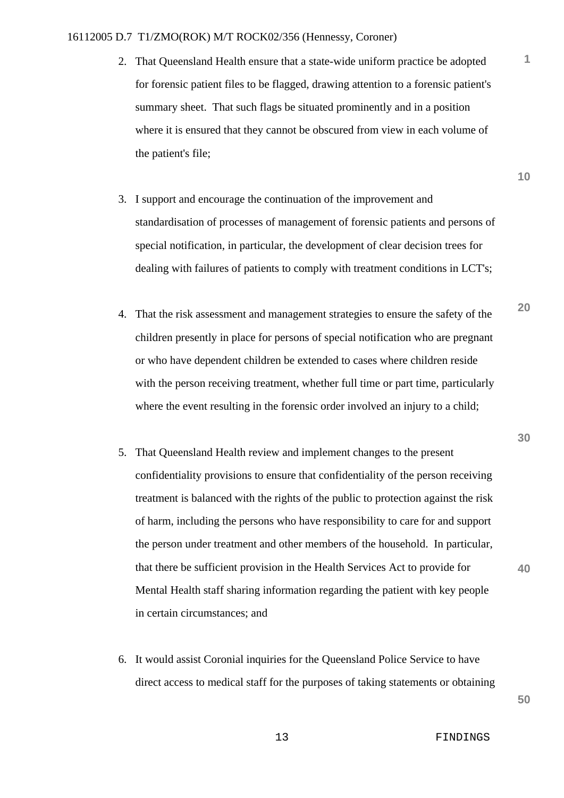- 2. That Queensland Health ensure that a state-wide uniform practice be adopted for forensic patient files to be flagged, drawing attention to a forensic patient's summary sheet. That such flags be situated prominently and in a position where it is ensured that they cannot be obscured from view in each volume of the patient's file;
- 3. I support and encourage the continuation of the improvement and standardisation of processes of management of forensic patients and persons of special notification, in particular, the development of clear decision trees for dealing with failures of patients to comply with treatment conditions in LCT's;
- 4. That the risk assessment and management strategies to ensure the safety of the children presently in place for persons of special notification who are pregnant or who have dependent children be extended to cases where children reside with the person receiving treatment, whether full time or part time, particularly where the event resulting in the forensic order involved an injury to a child;
- 5. That Queensland Health review and implement changes to the present confidentiality provisions to ensure that confidentiality of the person receiving treatment is balanced with the rights of the public to protection against the risk of harm, including the persons who have responsibility to care for and support the person under treatment and other members of the household. In particular, that there be sufficient provision in the Health Services Act to provide for Mental Health staff sharing information regarding the patient with key people in certain circumstances; and
- 6. It would assist Coronial inquiries for the Queensland Police Service to have direct access to medical staff for the purposes of taking statements or obtaining

**10**

**1**

**20**

**40**